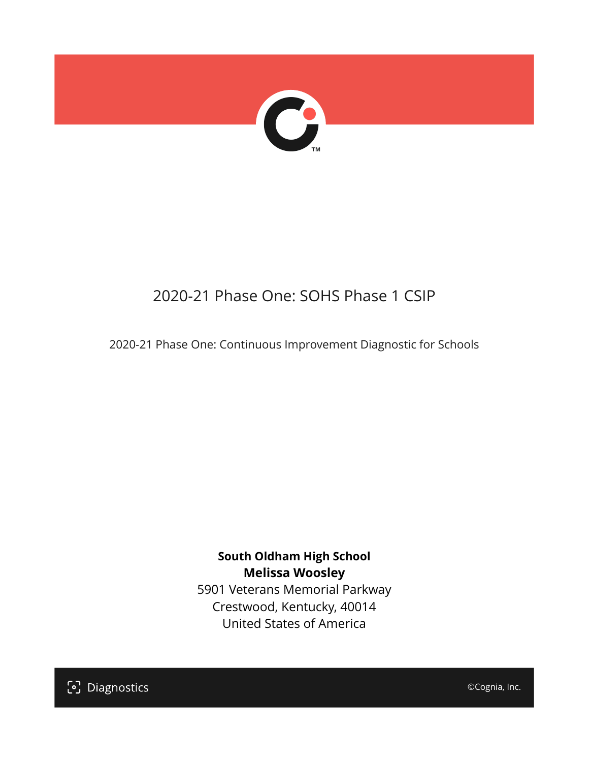

# 2020-21 Phase One: SOHS Phase 1 CSIP

2020-21 Phase One: Continuous Improvement Diagnostic for Schools

**South Oldham High School Melissa Woosley** 5901 Veterans Memorial Parkway Crestwood, Kentucky, 40014 United States of America

[၁] Diagnostics

©Cognia, Inc.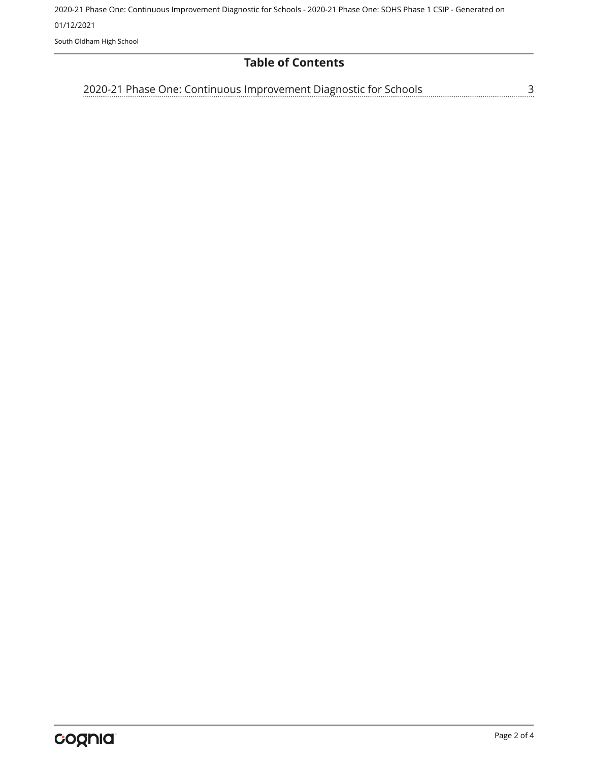2020-21 Phase One: Continuous Improvement Diagnostic for Schools - 2020-21 Phase One: SOHS Phase 1 CSIP - Generated on 01/12/2021 South Oldham High School

#### **Table of Contents**

[3](#page-2-0) [2020-21 Phase One: Continuous Improvement Diagnostic for Schools](#page-2-0)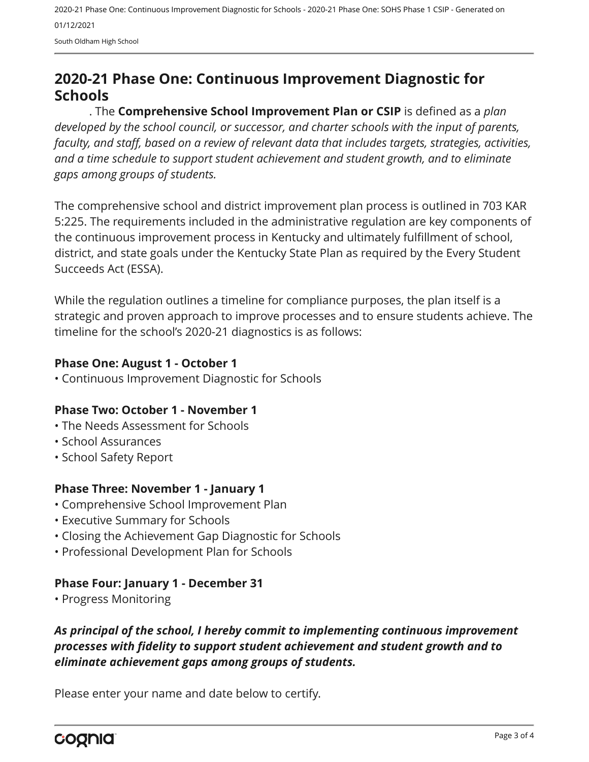2020-21 Phase One: Continuous Improvement Diagnostic for Schools - 2020-21 Phase One: SOHS Phase 1 CSIP - Generated on 01/12/2021

South Oldham High School

# <span id="page-2-0"></span>**2020-21 Phase One: Continuous Improvement Diagnostic for Schools**

. The **Comprehensive School Improvement Plan or CSIP** is defined as a *plan developed by the school council, or successor, and charter schools with the input of parents, faculty, and staff, based on a review of relevant data that includes targets, strategies, activities, and a time schedule to support student achievement and student growth, and to eliminate gaps among groups of students.*

The comprehensive school and district improvement plan process is outlined in 703 KAR 5:225. The requirements included in the administrative regulation are key components of the continuous improvement process in Kentucky and ultimately fulfillment of school, district, and state goals under the Kentucky State Plan as required by the Every Student Succeeds Act (ESSA).

While the regulation outlines a timeline for compliance purposes, the plan itself is a strategic and proven approach to improve processes and to ensure students achieve. The timeline for the school's 2020-21 diagnostics is as follows:

#### **Phase One: August 1 - October 1**

• Continuous Improvement Diagnostic for Schools

#### **Phase Two: October 1 - November 1**

- The Needs Assessment for Schools
- School Assurances
- School Safety Report

#### **Phase Three: November 1 - January 1**

- Comprehensive School Improvement Plan
- Executive Summary for Schools
- Closing the Achievement Gap Diagnostic for Schools
- Professional Development Plan for Schools

## **Phase Four: January 1 - December 31**

• Progress Monitoring

## *As principal of the school, I hereby commit to implementing continuous improvement processes with fidelity to support student achievement and student growth and to eliminate achievement gaps among groups of students.*

Please enter your name and date below to certify.